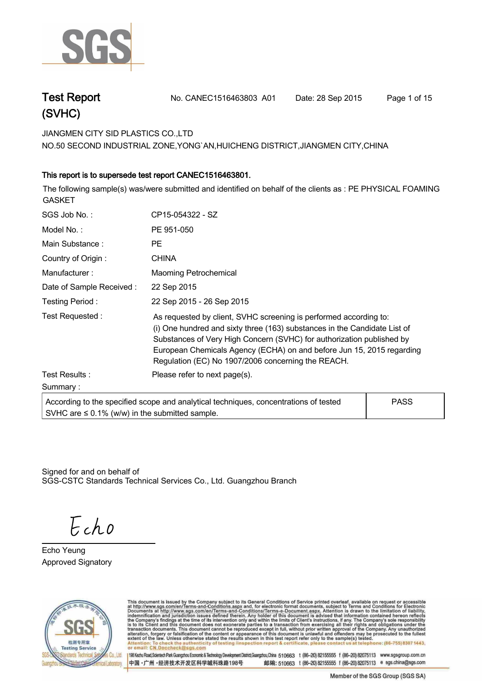

| <b>Test Report</b> | No. CANEC1516463803 A01 | Date: 28 Sep 2015 | Page 1 of 15 |
|--------------------|-------------------------|-------------------|--------------|
| (SVHC)             |                         |                   |              |

**JIANGMEN CITY SID PLASTICS CO.,LTD .**

**NO.50 SECOND INDUSTRIAL ZONE,YONG`AN,HUICHENG DISTRICT,JIANGMEN CITY,CHINA**

### **.This report is to supersede test report CANEC1516463801..**

**The following sample(s) was/were submitted and identified on behalf of the clients as : PE PHYSICAL FOAMING GASKET.**

| SGS Job No.:                                        | CP15-054322 - SZ                                                                                                                                                                                                                                                                                                                                       |             |
|-----------------------------------------------------|--------------------------------------------------------------------------------------------------------------------------------------------------------------------------------------------------------------------------------------------------------------------------------------------------------------------------------------------------------|-------------|
| Model No.:                                          | PE 951-050                                                                                                                                                                                                                                                                                                                                             |             |
| Main Substance:                                     | PE.                                                                                                                                                                                                                                                                                                                                                    |             |
| Country of Origin:                                  | <b>CHINA</b>                                                                                                                                                                                                                                                                                                                                           |             |
| Manufacturer:                                       | <b>Maoming Petrochemical</b>                                                                                                                                                                                                                                                                                                                           |             |
| Date of Sample Received:                            | 22 Sep 2015                                                                                                                                                                                                                                                                                                                                            |             |
| Testing Period:                                     | 22 Sep 2015 - 26 Sep 2015                                                                                                                                                                                                                                                                                                                              |             |
| Test Requested:                                     | As requested by client, SVHC screening is performed according to:<br>(i) One hundred and sixty three (163) substances in the Candidate List of<br>Substances of Very High Concern (SVHC) for authorization published by<br>European Chemicals Agency (ECHA) on and before Jun 15, 2015 regarding<br>Regulation (EC) No 1907/2006 concerning the REACH. |             |
| Test Results:                                       | Please refer to next page(s).                                                                                                                                                                                                                                                                                                                          |             |
| Summary:                                            |                                                                                                                                                                                                                                                                                                                                                        |             |
| SVHC are $\leq$ 0.1% (w/w) in the submitted sample. | According to the specified scope and analytical techniques, concentrations of tested                                                                                                                                                                                                                                                                   | <b>PASS</b> |

Signed for and on behalf of SGS-CSTC Standards Technical Services Co., Ltd. Guangzhou Branch.

Echo

**Echo Yeung. Approved Signatory . . .**



This document is issued by the Company subject to its General Conditions of Service printed overleaf, available on request or accessible at http://www.sgs.com/en/Terms-and-Conditions.aspx and, for electronic format documen telephone: (86-755) 8307 1443 ack the authenticity of testing /inspection report & certificate, pl contact u Attenti or email: CN Doccheck@

198 Kezhu Road,Scientech Park Guangzhou Economic & Technology Development District,Guangzhou,China 510663 t (86-20) 82155555 f (86-20) 82075113 www.sgsgroup.com.cn 中国·广州·经济技术开发区科学城科珠路198号

Member of the SGS Group (SGS SA)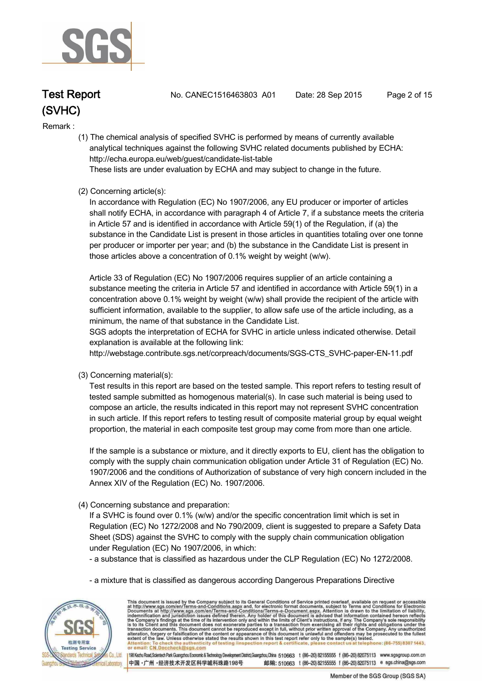

**Test Report. No. CANEC1516463803 A01 Date: 28 Sep 2015. Page 2 of 15.**

### **Remark :.**

 **(1) The chemical analysis of specified SVHC is performed by means of currently available analytical techniques against the following SVHC related documents published by ECHA: http://echa.europa.eu/web/guest/candidate-list-table** 

 **These lists are under evaluation by ECHA and may subject to change in the future.** 

### **(2) Concerning article(s):**

 **In accordance with Regulation (EC) No 1907/2006, any EU producer or importer of articles shall notify ECHA, in accordance with paragraph 4 of Article 7, if a substance meets the criteria in Article 57 and is identified in accordance with Article 59(1) of the Regulation, if (a) the substance in the Candidate List is present in those articles in quantities totaling over one tonne per producer or importer per year; and (b) the substance in the Candidate List is present in those articles above a concentration of 0.1% weight by weight (w/w).** 

 **Article 33 of Regulation (EC) No 1907/2006 requires supplier of an article containing a substance meeting the criteria in Article 57 and identified in accordance with Article 59(1) in a concentration above 0.1% weight by weight (w/w) shall provide the recipient of the article with sufficient information, available to the supplier, to allow safe use of the article including, as a minimum, the name of that substance in the Candidate List.** 

 **SGS adopts the interpretation of ECHA for SVHC in article unless indicated otherwise. Detail explanation is available at the following link:**

 **http://webstage.contribute.sgs.net/corpreach/documents/SGS-CTS\_SVHC-paper-EN-11.pdf** 

 **(3) Concerning material(s):** 

 **Test results in this report are based on the tested sample. This report refers to testing result of tested sample submitted as homogenous material(s). In case such material is being used to compose an article, the results indicated in this report may not represent SVHC concentration in such article. If this report refers to testing result of composite material group by equal weight proportion, the material in each composite test group may come from more than one article.** 

 **If the sample is a substance or mixture, and it directly exports to EU, client has the obligation to comply with the supply chain communication obligation under Article 31 of Regulation (EC) No. 1907/2006 and the conditions of Authorization of substance of very high concern included in the Annex XIV of the Regulation (EC) No. 1907/2006.** 

 **(4) Concerning substance and preparation:** 

 **If a SVHC is found over 0.1% (w/w) and/or the specific concentration limit which is set in Regulation (EC) No 1272/2008 and No 790/2009, client is suggested to prepare a Safety Data Sheet (SDS) against the SVHC to comply with the supply chain communication obligation under Regulation (EC) No 1907/2006, in which:** 

 **- a substance that is classified as hazardous under the CLP Regulation (EC) No 1272/2008.** 

 **- a mixture that is classified as dangerous according Dangerous Preparations Directive** 



This document is issued by the Company subject to its General Conditions of Service printed overleaf, available on request or accessible at http://www.sgs.com/en/Terms-and-Conditions.aspx and, for electronic format docume ck the authenticity of testing /inspection report & certificate, pl or email: CN Doccheck@

198 Kezhu Road,Scientech Park Guangzhou Economic & Technology Development District,Guangzhou,China 510663 t (86-20) 82155555 f (86-20) 82075113 www.sgsgroup.com.cn 中国·广州·经济技术开发区科学城科珠路198号 邮编: 510663 t (86-20) 82155555 f (86-20) 82075113 e sgs.china@sgs.com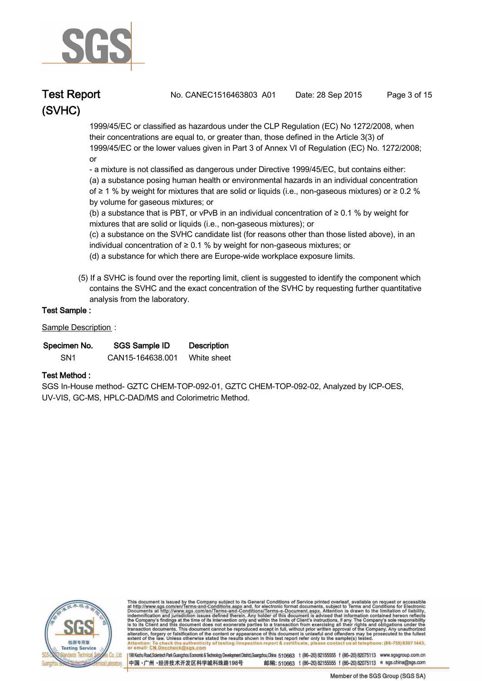

**Test Report. No. CANEC1516463803 A01 Date: 28 Sep 2015. Page 3 of 15.**

 **1999/45/EC or classified as hazardous under the CLP Regulation (EC) No 1272/2008, when their concentrations are equal to, or greater than, those defined in the Article 3(3) of 1999/45/EC or the lower values given in Part 3 of Annex VI of Regulation (EC) No. 1272/2008; or** 

 **- a mixture is not classified as dangerous under Directive 1999/45/EC, but contains either:** 

 **(a) a substance posing human health or environmental hazards in an individual concentration of ≥ 1 % by weight for mixtures that are solid or liquids (i.e., non-gaseous mixtures) or ≥ 0.2 % by volume for gaseous mixtures; or** 

 **(b) a substance that is PBT, or vPvB in an individual concentration of ≥ 0.1 % by weight for mixtures that are solid or liquids (i.e., non-gaseous mixtures); or** 

 **(c) a substance on the SVHC candidate list (for reasons other than those listed above), in an individual concentration of ≥ 0.1 % by weight for non-gaseous mixtures; or** 

 **(d) a substance for which there are Europe-wide workplace exposure limits.** 

 **(5) If a SVHC is found over the reporting limit, client is suggested to identify the component which contains the SVHC and the exact concentration of the SVHC by requesting further quantitative analysis from the laboratory.** 

### **Test Sample :.**

**Sample Description :.**

| Specimen No.    | SGS Sample ID    | <b>Description</b> |  |
|-----------------|------------------|--------------------|--|
| SN <sub>1</sub> | CAN15-164638.001 | White sheet        |  |

### **Test Method :.**

**SGS In-House method- GZTC CHEM-TOP-092-01, GZTC CHEM-TOP-092-02, Analyzed by ICP-OES, UV-VIS, GC-MS, HPLC-DAD/MS and Colorimetric Method. .**



This document is issued by the Company subject to its General Conditions of Service printed overleaf, available on request or accessible at http://www.sgs.com/en/Terms-and-Conditions.aspx and, for electronic format docume ck the authenticity of testing /inspection report & certificate, pl or email: CN Doccheck@

198 Kezhu Road,Scientech Park Guangzhou Economic & Technology Development District,Guangzhou,China 510663 t (86-20) 82155555 f (86-20) 82075113 www.sgsgroup.com.cn 中国·广州·经济技术开发区科学城科珠路198号 邮编: 510663 t (86-20) 82155555 f (86-20) 82075113 e sgs.china@sgs.com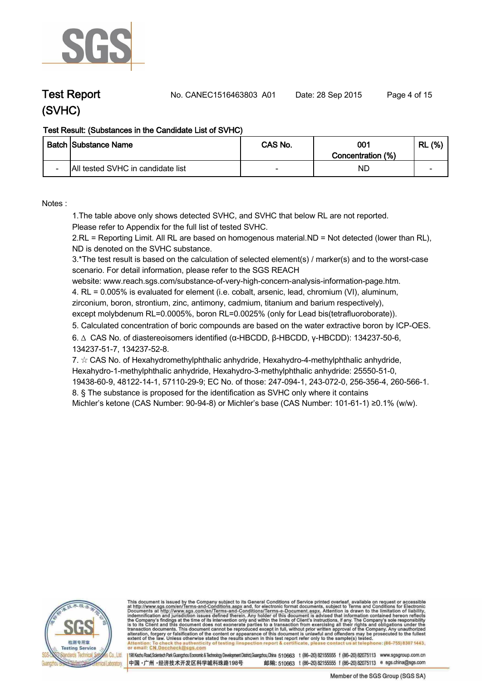

**Test Report. No. CANEC1516463803 A01 Date: 28 Sep 2015. Page 4 of 15.**

### **Test Result: (Substances in the Candidate List of SVHC)**

|                          | <b>Batch Substance Name</b>       | CAS No. | 001<br>Concentration (%) | (% )<br>RL               |
|--------------------------|-----------------------------------|---------|--------------------------|--------------------------|
| $\overline{\phantom{0}}$ | All tested SVHC in candidate list |         | ND                       | $\overline{\phantom{0}}$ |

**Notes :.**

**1.The table above only shows detected SVHC, and SVHC that below RL are not reported.** 

**Please refer to Appendix for the full list of tested SVHC.**

**2.RL = Reporting Limit. All RL are based on homogenous material.ND = Not detected (lower than RL), ND is denoted on the SVHC substance.**

**3.\*The test result is based on the calculation of selected element(s) / marker(s) and to the worst-case scenario. For detail information, please refer to the SGS REACH** 

**website: www.reach.sgs.com/substance-of-very-high-concern-analysis-information-page.htm. 4. RL = 0.005% is evaluated for element (i.e. cobalt, arsenic, lead, chromium (VI), aluminum, zirconium, boron, strontium, zinc, antimony, cadmium, titanium and barium respectively), except molybdenum RL=0.0005%, boron RL=0.0025% (only for Lead bis(tetrafluoroborate)). .**

**5. Calculated concentration of boric compounds are based on the water extractive boron by ICP-OES. .**

**6. ∆ CAS No. of diastereoisomers identified (α-HBCDD, β-HBCDD, γ-HBCDD): 134237-50-6, 134237-51-7, 134237-52-8.** 

**7. ☆ CAS No. of Hexahydromethylphthalic anhydride, Hexahydro-4-methylphthalic anhydride, Hexahydro-1-methylphthalic anhydride, Hexahydro-3-methylphthalic anhydride: 25550-51-0, 19438-60-9, 48122-14-1, 57110-29-9; EC No. of those: 247-094-1, 243-072-0, 256-356-4, 260-566-1. 8. § The substance is proposed for the identification as SVHC only where it contains** 

**Michler's ketone (CAS Number: 90-94-8) or Michler's base (CAS Number: 101-61-1) ≥0.1% (w/w). .**



This document is issued by the Company subject to its General Conditions of Service printed overleaf, available on request or accessible at http://www.sgs.com/en/Terms-and-Conditions.aspx and, for electronic format docume ck the authenticity of testing /inspection report & certificate, pl or email: CN Doccheck@

198 Kezhu Road,Scientech Park Guangzhou Economic & Technology Development District,Guangzhou,China 510663 t (86-20) 82155555 f (86-20) 82075113 www.sgsgroup.com.cn 中国·广州·经济技术开发区科学城科珠路198号 邮编: 510663 t (86-20) 82155555 f (86-20) 82075113 e sgs.china@sgs.com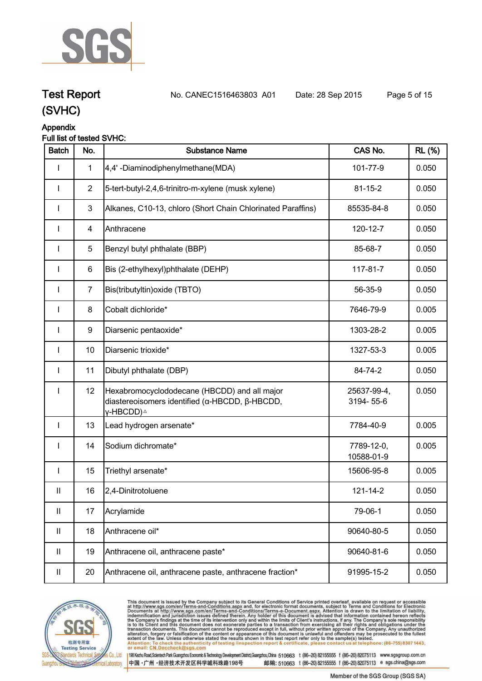

**Test Report. No. CANEC1516463803 A01 Date: 28 Sep 2015. Page 5 of 15.**

## **Appendix**

### **Full list of tested SVHC:**

| <b>Batch</b>               | No.            | <b>Substance Name</b>                                                                                                   | CAS No.                  | <b>RL</b> (%) |
|----------------------------|----------------|-------------------------------------------------------------------------------------------------------------------------|--------------------------|---------------|
|                            | $\mathbf 1$    | 4,4'-Diaminodiphenylmethane(MDA)                                                                                        | 101-77-9                 | 0.050         |
| I                          | $\overline{2}$ | 5-tert-butyl-2,4,6-trinitro-m-xylene (musk xylene)                                                                      | $81 - 15 - 2$            | 0.050         |
|                            | $\mathbf{3}$   | Alkanes, C10-13, chloro (Short Chain Chlorinated Paraffins)                                                             | 85535-84-8               | 0.050         |
| $\mathbf{I}$               | 4              | Anthracene                                                                                                              | 120-12-7                 | 0.050         |
| I                          | $\sqrt{5}$     | Benzyl butyl phthalate (BBP)                                                                                            | 85-68-7                  | 0.050         |
| $\mathbf{I}$               | 6              | Bis (2-ethylhexyl)phthalate (DEHP)                                                                                      | 117-81-7                 | 0.050         |
| $\mathbf{I}$               | $\overline{7}$ | Bis(tributyltin) oxide (TBTO)                                                                                           | 56-35-9                  | 0.050         |
| I                          | 8              | Cobalt dichloride*                                                                                                      | 7646-79-9                | 0.005         |
| I                          | 9              | Diarsenic pentaoxide*                                                                                                   | 1303-28-2                | 0.005         |
| I                          | 10             | Diarsenic trioxide*                                                                                                     | 1327-53-3                | 0.005         |
| $\mathbf{I}$               | 11             | Dibutyl phthalate (DBP)                                                                                                 | 84-74-2                  | 0.050         |
| I                          | 12             | Hexabromocyclododecane (HBCDD) and all major<br>diastereoisomers identified (α-HBCDD, β-HBCDD,<br>γ-HBCDD) <sup>∆</sup> | 25637-99-4,<br>3194-55-6 | 0.050         |
| $\mathbf{I}$               | 13             | Lead hydrogen arsenate*                                                                                                 | 7784-40-9                | 0.005         |
|                            | 14             | Sodium dichromate*                                                                                                      | 7789-12-0,<br>10588-01-9 | 0.005         |
| I                          | 15             | Triethyl arsenate*                                                                                                      | 15606-95-8               | 0.005         |
| Ш                          | 16             | 2,4-Dinitrotoluene                                                                                                      | 121-14-2                 | 0.050         |
| Ш                          | 17             | Acrylamide                                                                                                              | 79-06-1                  | 0.050         |
| $\mathbf{II}$              | 18             | Anthracene oil*                                                                                                         | 90640-80-5               | 0.050         |
| $\mathbf{II}$              | 19             | Anthracene oil, anthracene paste*                                                                                       | 90640-81-6               | 0.050         |
| $\ensuremath{\mathsf{II}}$ | 20             | Anthracene oil, anthracene paste, anthracene fraction*                                                                  | 91995-15-2               | 0.050         |



This document is issued by the Company subject to its General Conditions of Service printed overleaf, available on request or accessible at http://www.sgs.com/en/Terms-and-Conditions.aspx and, for electronic format documen . at telephone: (86-755) 8307 1443, Attention: To check the authent<br>or email: CN.Doccheck@sgs.c eck the authenticity of testing /inspection report & certificate, ple contact us

198 Kezhu Road,Scientech Park Guangzhou Economic & Technology Development District,Guangzhou,China 510663 t (86-20) 82155555 f (86-20) 82075113 www.sgsgroup.com.cn 中国·广州·经济技术开发区科学城科珠路198号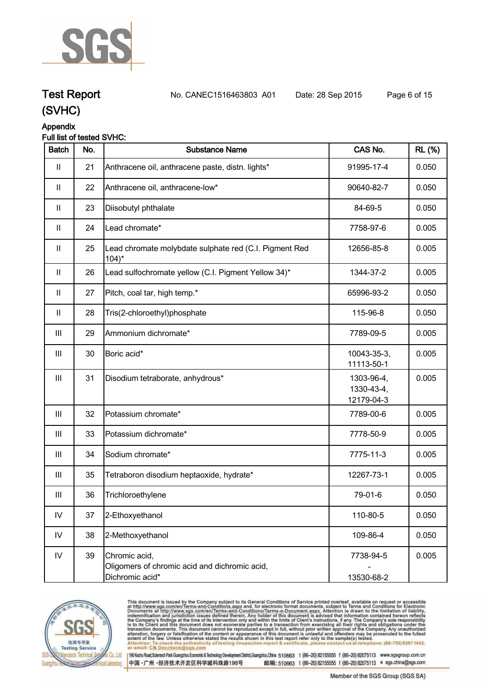

## **Test Report. No. CANEC1516463803 A01 Date: 28 Sep 2015. Page 6 of 15.**

### **(SVHC)**

### **Appendix**

### **Full list of tested SVHC:**

| <b>Batch</b>               | No. | <b>Substance Name</b>                                                             | CAS No.                                | <b>RL</b> (%) |
|----------------------------|-----|-----------------------------------------------------------------------------------|----------------------------------------|---------------|
| $\mathbf{II}$              | 21  | Anthracene oil, anthracene paste, distn. lights*                                  | 91995-17-4                             | 0.050         |
| $\mathbf{II}$              | 22  | Anthracene oil, anthracene-low*                                                   | 90640-82-7                             | 0.050         |
| $\mathbf{II}$              | 23  | Diisobutyl phthalate                                                              | 84-69-5                                | 0.050         |
| $\mathbf{II}$              | 24  | Lead chromate*                                                                    | 7758-97-6                              | 0.005         |
| $\mathbf{II}$              | 25  | Lead chromate molybdate sulphate red (C.I. Pigment Red<br>$104$ <sup>*</sup>      | 12656-85-8                             | 0.005         |
| $\mathbf{II}$              | 26  | Lead sulfochromate yellow (C.I. Pigment Yellow 34)*                               | 1344-37-2                              | 0.005         |
| $\ensuremath{\mathsf{II}}$ | 27  | Pitch, coal tar, high temp.*                                                      | 65996-93-2                             | 0.050         |
| $\mathbf{II}$              | 28  | Tris(2-chloroethyl)phosphate                                                      | 115-96-8                               | 0.050         |
| Ш                          | 29  | Ammonium dichromate*                                                              | 7789-09-5                              | 0.005         |
| $\mathop{\rm III}$         | 30  | Boric acid*                                                                       | 10043-35-3,<br>11113-50-1              | 0.005         |
| $\mathbf{III}$             | 31  | Disodium tetraborate, anhydrous*                                                  | 1303-96-4,<br>1330-43-4,<br>12179-04-3 | 0.005         |
| $\mathbf{III}$             | 32  | Potassium chromate*                                                               | 7789-00-6                              | 0.005         |
| $\mathbf{III}$             | 33  | Potassium dichromate*                                                             | 7778-50-9                              | 0.005         |
| Ш                          | 34  | Sodium chromate*                                                                  | 7775-11-3                              | 0.005         |
| $\mathop{\rm III}$         | 35  | Tetraboron disodium heptaoxide, hydrate*                                          | 12267-73-1                             | 0.005         |
| $\mathbf{III}$             | 36  | Trichloroethylene                                                                 | 79-01-6                                | 0.050         |
| ${\sf IV}$                 | 37  | 2-Ethoxyethanol                                                                   | 110-80-5                               | 0.050         |
| ${\sf IV}$                 | 38  | 2-Methoxyethanol                                                                  | 109-86-4                               | 0.050         |
| ${\sf IV}$                 | 39  | Chromic acid,<br>Oligomers of chromic acid and dichromic acid,<br>Dichromic acid* | 7738-94-5<br>13530-68-2                | 0.005         |



This document is issued by the Company subject to its General Conditions of Service printed overleaf, available on request or accessible at http://www.sgs.com/en/Terms-and-Conditions.aspx and, for electronic format documen . at telephone: (86-755) 8307 1443, Attention: To check the authent<br>or email: CN.Doccheck@sgs.c eck the authenticity of testing /inspection report & certificate, ple contact us

中国·广州·经济技术开发区科学城科珠路198号

198 Kezhu Road, Scientech Park Guangzhou Economic & Technology Development District, Guangzhou, China 510663 t (86-20) 82155555 f (86-20) 82075113 www.sgsgroup.com.cn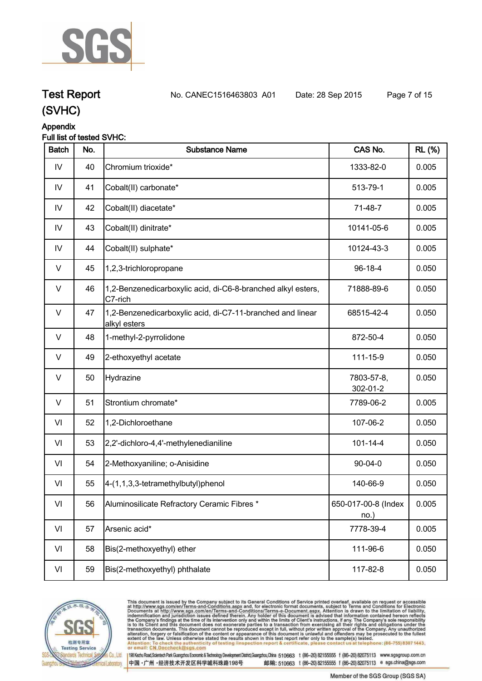

## **Test Report. No. CANEC1516463803 A01 Date: 28 Sep 2015. Page 7 of 15.**

**(SVHC)**

### **Appendix**

### **Full list of tested SVHC:**

| <b>Batch</b> | No. | <b>Substance Name</b>                                                      | CAS No.                     | <b>RL</b> (%) |
|--------------|-----|----------------------------------------------------------------------------|-----------------------------|---------------|
| IV           | 40  | Chromium trioxide*                                                         | 1333-82-0                   | 0.005         |
| IV           | 41  | Cobalt(II) carbonate*                                                      | 513-79-1                    | 0.005         |
| IV           | 42  | Cobalt(II) diacetate*                                                      | 71-48-7                     | 0.005         |
| IV           | 43  | Cobalt(II) dinitrate*                                                      | 10141-05-6                  | 0.005         |
| IV           | 44  | Cobalt(II) sulphate*                                                       | 10124-43-3                  | 0.005         |
| $\vee$       | 45  | 1,2,3-trichloropropane                                                     | 96-18-4                     | 0.050         |
| $\vee$       | 46  | 1,2-Benzenedicarboxylic acid, di-C6-8-branched alkyl esters,<br>C7-rich    | 71888-89-6                  | 0.050         |
| $\vee$       | 47  | 1,2-Benzenedicarboxylic acid, di-C7-11-branched and linear<br>alkyl esters | 68515-42-4                  | 0.050         |
| $\vee$       | 48  | 1-methyl-2-pyrrolidone                                                     | 872-50-4                    | 0.050         |
| V            | 49  | 2-ethoxyethyl acetate                                                      | 111-15-9                    | 0.050         |
| $\vee$       | 50  | Hydrazine                                                                  | 7803-57-8,<br>302-01-2      | 0.050         |
| $\vee$       | 51  | Strontium chromate*                                                        | 7789-06-2                   | 0.005         |
| VI           | 52  | 1,2-Dichloroethane                                                         | 107-06-2                    | 0.050         |
| VI           | 53  | 2,2'-dichloro-4,4'-methylenedianiline                                      | $101 - 14 - 4$              | 0.050         |
| VI           | 54  | 2-Methoxyaniline; o-Anisidine                                              | $90 - 04 - 0$               | 0.050         |
| VI           | 55  | 4-(1,1,3,3-tetramethylbutyl)phenol                                         | 140-66-9                    | 0.050         |
| VI           | 56  | Aluminosilicate Refractory Ceramic Fibres *                                | 650-017-00-8 (Index<br>no.) | 0.005         |
| VI           | 57  | Arsenic acid*                                                              | 7778-39-4                   | 0.005         |
| VI           | 58  | Bis(2-methoxyethyl) ether                                                  | 111-96-6                    | 0.050         |
| VI           | 59  | Bis(2-methoxyethyl) phthalate                                              | 117-82-8                    | 0.050         |



This document is issued by the Company subject to its General Conditions of Service printed overleaf, available on request or accessible at http://www.sgs.com/en/Terms-and-Conditions.aspx and, for electronic format documen (s) tested.<br><mark>: at telephon</mark>e: (86-755) 8307 1443, Attention: To check the authen<br>or email: CN.Doccheck@sgs.c eck the authenticity of testing /inspection report & certificate, ple contact us

198 Kezhu Road, Scientech Park Guangzhou Economic & Technology Development District, Guangzhou, China 510663 t (86-20) 82155555 f (86-20) 82075113 www.sgsgroup.com.cn 中国·广州·经济技术开发区科学城科珠路198号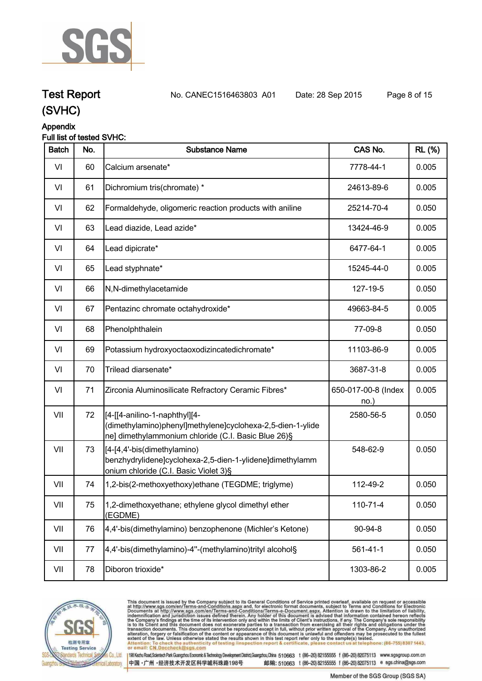

### **Appendix**

### **Full list of tested SVHC:**

| <b>Batch</b> | No. | <b>Substance Name</b>                                                                                                                              | CAS No.                     | <b>RL</b> (%) |
|--------------|-----|----------------------------------------------------------------------------------------------------------------------------------------------------|-----------------------------|---------------|
| VI           | 60  | Calcium arsenate*                                                                                                                                  | 7778-44-1                   | 0.005         |
| VI           | 61  | Dichromium tris(chromate) *                                                                                                                        | 24613-89-6                  | 0.005         |
| VI           | 62  | Formaldehyde, oligomeric reaction products with aniline                                                                                            | 25214-70-4                  | 0.050         |
| VI           | 63  | Lead diazide, Lead azide*                                                                                                                          | 13424-46-9                  | 0.005         |
| VI           | 64  | Lead dipicrate*                                                                                                                                    | 6477-64-1                   | 0.005         |
| VI           | 65  | Lead styphnate*                                                                                                                                    | 15245-44-0                  | 0.005         |
| VI           | 66  | N,N-dimethylacetamide                                                                                                                              | 127-19-5                    | 0.050         |
| VI           | 67  | Pentazinc chromate octahydroxide*                                                                                                                  | 49663-84-5                  | 0.005         |
| VI           | 68  | Phenolphthalein                                                                                                                                    | 77-09-8                     | 0.050         |
| VI           | 69  | Potassium hydroxyoctaoxodizincatedichromate*                                                                                                       | 11103-86-9                  | 0.005         |
| VI           | 70  | Trilead diarsenate*                                                                                                                                | 3687-31-8                   | 0.005         |
| VI           | 71  | Zirconia Aluminosilicate Refractory Ceramic Fibres*                                                                                                | 650-017-00-8 (Index<br>no.) | 0.005         |
| VII          | 72  | [4-[[4-anilino-1-naphthyl][4-<br>(dimethylamino)phenyl]methylene]cyclohexa-2,5-dien-1-ylide<br>ne] dimethylammonium chloride (C.I. Basic Blue 26)§ | 2580-56-5                   | 0.050         |
| VII          | 73  | [4-[4,4'-bis(dimethylamino)<br>benzhydrylidene]cyclohexa-2,5-dien-1-ylidene]dimethylamm<br>onium chloride (C.I. Basic Violet 3)§                   | 548-62-9                    | 0.050         |
| VII          | 74  | 1,2-bis(2-methoxyethoxy)ethane (TEGDME; triglyme)                                                                                                  | 112-49-2                    | 0.050         |
| VII          | 75  | 1,2-dimethoxyethane; ethylene glycol dimethyl ether<br>(EGDME)                                                                                     | 110-71-4                    | 0.050         |
| VII          | 76  | 4,4'-bis(dimethylamino) benzophenone (Michler's Ketone)                                                                                            | 90-94-8                     | 0.050         |
| VII          | 77  | 4,4'-bis(dimethylamino)-4"-(methylamino)trityl alcohol§                                                                                            | $561 - 41 - 1$              | 0.050         |
| VII          | 78  | Diboron trioxide*                                                                                                                                  | 1303-86-2                   | 0.005         |



This document is issued by the Company subject to its General Conditions of Service printed overleaf, available on request or accessible at http://www.sgs.com/en/Terms-and-Conditions.aspx and, for electronic format documen (s) tested.<br><mark>: at telepho</mark>ne: (86-755) 8307 1443, Attention: To check the authen<br>or email: CN.Doccheck@sgs.c eck the authenticity of testing /inspection report & certificate, ple contact us

198 Kezhu Road,Scientech Park Guangzhou Economic & Technology Development District,Guangzhou,China 510663 t (86-20) 82155555 f (86-20) 82075113 www.sgsgroup.com.cn 中国·广州·经济技术开发区科学城科珠路198号

**Test Report. No. CANEC1516463803 A01 Date: 28 Sep 2015. Page 8 of 15.**

Member of the SGS Group (SGS SA)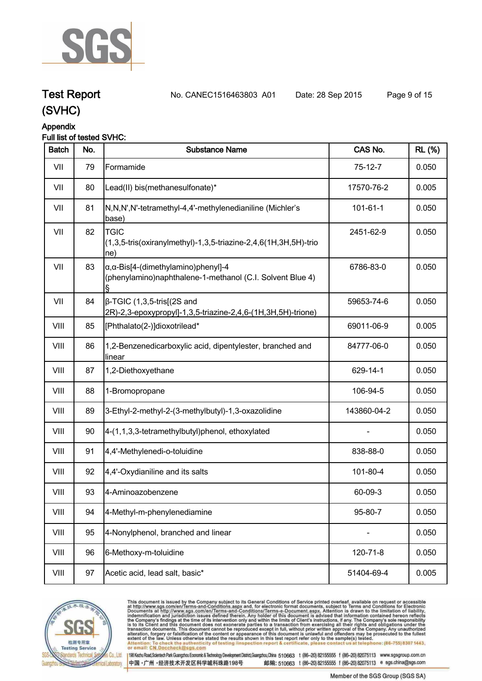

## **Test Report. No. CANEC1516463803 A01 Date: 28 Sep 2015. Page 9 of 15.**

### **(SVHC)**

### **Appendix**

### **Full list of tested SVHC:**

| <b>Batch</b> | No. | <b>Substance Name</b>                                                                                            | CAS No.        | <b>RL</b> (%) |
|--------------|-----|------------------------------------------------------------------------------------------------------------------|----------------|---------------|
| VII          | 79  | Formamide                                                                                                        | $75-12-7$      | 0.050         |
| VII          | 80  | Lead(II) bis(methanesulfonate)*                                                                                  | 17570-76-2     | 0.005         |
| VII          | 81  | N,N,N',N'-tetramethyl-4,4'-methylenedianiline (Michler's<br>base)                                                | $101 - 61 - 1$ | 0.050         |
| VII          | 82  | <b>TGIC</b><br>$(1,3,5\text{-tris}(oxiranylmethyl)-1,3,5\text{-triazine}-2,4,6(1H,3H,5H)\text{-trio}$<br> ne)    | 2451-62-9      | 0.050         |
| VII          | 83  | $\alpha$ , $\alpha$ -Bis[4-(dimethylamino)phenyl]-4<br>(phenylamino)naphthalene-1-methanol (C.I. Solvent Blue 4) | 6786-83-0      | 0.050         |
| VII          | 84  | $\beta$ -TGIC (1,3,5-tris[(2S and<br>2R)-2,3-epoxypropyl]-1,3,5-triazine-2,4,6-(1H,3H,5H)-trione)                | 59653-74-6     | 0.050         |
| VIII         | 85  | [Phthalato(2-)]dioxotrilead*                                                                                     | 69011-06-9     | 0.005         |
| VIII         | 86  | 1,2-Benzenedicarboxylic acid, dipentylester, branched and<br>linear                                              | 84777-06-0     | 0.050         |
| VIII         | 87  | 1,2-Diethoxyethane                                                                                               | 629-14-1       | 0.050         |
| VIII         | 88  | 1-Bromopropane                                                                                                   | 106-94-5       | 0.050         |
| VIII         | 89  | 3-Ethyl-2-methyl-2-(3-methylbutyl)-1,3-oxazolidine                                                               | 143860-04-2    | 0.050         |
| VIII         | 90  | 4-(1,1,3,3-tetramethylbutyl)phenol, ethoxylated                                                                  |                | 0.050         |
| VIII         | 91  | 4,4'-Methylenedi-o-toluidine                                                                                     | 838-88-0       | 0.050         |
| VIII         | 92  | 4,4'-Oxydianiline and its salts                                                                                  | 101-80-4       | 0.050         |
| VIII         | 93  | 4-Aminoazobenzene                                                                                                | 60-09-3        | 0.050         |
| VIII         | 94  | 4-Methyl-m-phenylenediamine                                                                                      | 95-80-7        | 0.050         |
| VIII         | 95  | 4-Nonylphenol, branched and linear                                                                               |                | 0.050         |
| VIII         | 96  | 6-Methoxy-m-toluidine                                                                                            | 120-71-8       | 0.050         |
| VIII         | 97  | Acetic acid, lead salt, basic*                                                                                   | 51404-69-4     | 0.005         |



This document is issued by the Company subject to its General Conditions of Service printed overleaf, available on request or accessible at http://www.sgs.com/en/Terms-and-Conditions.aspx and, for electronic format documen . at telephone: (86-755) 8307 1443, Attention: To check the authent<br>or email: CN.Doccheck@sgs.co eck the authenticity of testing /inspection report & certificate, ple contact us

中国·广州·经济技术开发区科学城科珠路198号

198 Kezhu Road, Scientech Park Guangzhou Economic & Technology Development District, Guangzhou, China 510663 t (86-20) 82155555 f (86-20) 82075113 www.sgsgroup.com.cn

邮编: 510663 t (86-20) 82155555 f (86-20) 82075113 e sgs.china@sgs.com

Member of the SGS Group (SGS SA)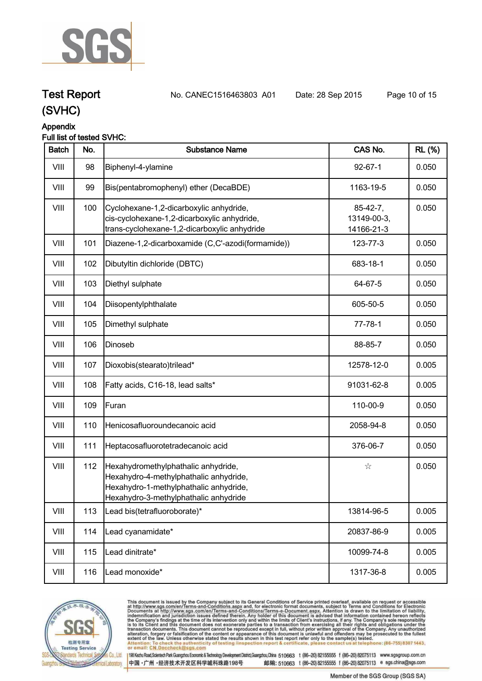

### **Appendix**

### **Full list of tested SVHC:**

| <b>Batch</b> | No. | <b>Substance Name</b>                                                                                                                                            | CAS No.                                 | <b>RL</b> (%) |
|--------------|-----|------------------------------------------------------------------------------------------------------------------------------------------------------------------|-----------------------------------------|---------------|
| VIII         | 98  | Biphenyl-4-ylamine                                                                                                                                               | $92 - 67 - 1$                           | 0.050         |
| VIII         | 99  | Bis(pentabromophenyl) ether (DecaBDE)                                                                                                                            | 1163-19-5                               | 0.050         |
| VIII         | 100 | Cyclohexane-1,2-dicarboxylic anhydride,<br>cis-cyclohexane-1,2-dicarboxylic anhydride,<br>trans-cyclohexane-1,2-dicarboxylic anhydride                           | $85-42-7,$<br>13149-00-3,<br>14166-21-3 | 0.050         |
| VIII         | 101 | Diazene-1,2-dicarboxamide (C,C'-azodi(formamide))                                                                                                                | 123-77-3                                | 0.050         |
| VIII         | 102 | Dibutyltin dichloride (DBTC)                                                                                                                                     | 683-18-1                                | 0.050         |
| VIII         | 103 | Diethyl sulphate                                                                                                                                                 | 64-67-5                                 | 0.050         |
| VIII         | 104 | Diisopentylphthalate                                                                                                                                             | 605-50-5                                | 0.050         |
| VIII         | 105 | Dimethyl sulphate                                                                                                                                                | $77 - 78 - 1$                           | 0.050         |
| VIII         | 106 | Dinoseb                                                                                                                                                          | 88-85-7                                 | 0.050         |
| VIII         | 107 | Dioxobis(stearato)trilead*                                                                                                                                       | 12578-12-0                              | 0.005         |
| VIII         | 108 | Fatty acids, C16-18, lead salts*                                                                                                                                 | 91031-62-8                              | 0.005         |
| VIII         | 109 | Furan                                                                                                                                                            | 110-00-9                                | 0.050         |
| VIII         | 110 | Henicosafluoroundecanoic acid                                                                                                                                    | 2058-94-8                               | 0.050         |
| VIII         | 111 | Heptacosafluorotetradecanoic acid                                                                                                                                | 376-06-7                                | 0.050         |
| VIII         | 112 | Hexahydromethylphathalic anhydride,<br>Hexahydro-4-methylphathalic anhydride,<br>Hexahydro-1-methylphathalic anhydride,<br>Hexahydro-3-methylphathalic anhydride | $\stackrel{\circ}{\bowtie}$             | 0.050         |
| VIII         | 113 | Lead bis(tetrafluoroborate)*                                                                                                                                     | 13814-96-5                              | 0.005         |
| VIII         | 114 | Lead cyanamidate*                                                                                                                                                | 20837-86-9                              | 0.005         |
| VIII         | 115 | Lead dinitrate*                                                                                                                                                  | 10099-74-8                              | 0.005         |
| VIII         | 116 | Lead monoxide*                                                                                                                                                   | 1317-36-8                               | 0.005         |



This document is issued by the Company subject to its General Conditions of Service printed overleaf, available on request or accessible at http://www.sgs.com/en/Terms-and-Conditions.aspx and, for electronic format documen . at telephone: (86-755) 8307 1443, Attention: To check the authent<br>or email: CN.Doccheck@sgs.c eck the authenticity of testing /inspection report & certificate, ple contact us

198 Kezhu Road, Scientech Park Guangzhou Economic & Technology Development District, Guangzhou, China 510663 t (86-20) 82155555 f (86-20) 82075113 www.sgsgroup.com.cn 中国·广州·经济技术开发区科学城科珠路198号

**Test Report. No. CANEC1516463803 A01 Date: 28 Sep 2015. Page 10 of 15.**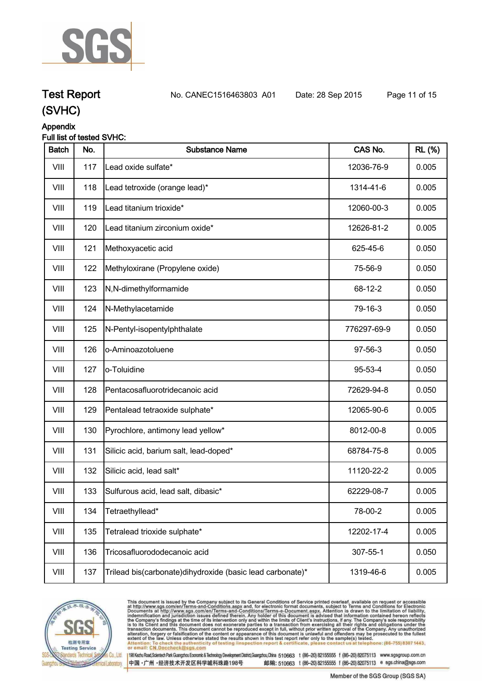

## **Test Report. No. CANEC1516463803 A01 Date: 28 Sep 2015. Page 11 of 15.**

**(SVHC)**

### **Appendix**

### **Full list of tested SVHC:**

| <b>Batch</b> | No. | <b>Substance Name</b>                                       | CAS No.     | <b>RL</b> (%) |
|--------------|-----|-------------------------------------------------------------|-------------|---------------|
| VIII         | 117 | Lead oxide sulfate*                                         | 12036-76-9  | 0.005         |
| VIII         | 118 | Lead tetroxide (orange lead)*                               | 1314-41-6   | 0.005         |
| VIII         | 119 | Lead titanium trioxide*                                     | 12060-00-3  | 0.005         |
| VIII         | 120 | Lead titanium zirconium oxide*                              | 12626-81-2  | 0.005         |
| VIII         | 121 | Methoxyacetic acid                                          | 625-45-6    | 0.050         |
| VIII         | 122 | Methyloxirane (Propylene oxide)                             | 75-56-9     | 0.050         |
| VIII         | 123 | N,N-dimethylformamide                                       | 68-12-2     | 0.050         |
| VIII         | 124 | N-Methylacetamide                                           | 79-16-3     | 0.050         |
| VIII         | 125 | N-Pentyl-isopentylphthalate                                 | 776297-69-9 | 0.050         |
| VIII         | 126 | o-Aminoazotoluene                                           | 97-56-3     | 0.050         |
| VIII         | 127 | o-Toluidine                                                 | 95-53-4     | 0.050         |
| VIII         | 128 | Pentacosafluorotridecanoic acid                             | 72629-94-8  | 0.050         |
| VIII         | 129 | Pentalead tetraoxide sulphate*                              | 12065-90-6  | 0.005         |
| VIII         | 130 | Pyrochlore, antimony lead yellow*                           | 8012-00-8   | 0.005         |
| VIII         | 131 | Silicic acid, barium salt, lead-doped*                      | 68784-75-8  | 0.005         |
| VIII         | 132 | Silicic acid, lead salt*                                    | 11120-22-2  | 0.005         |
| VIII         | 133 | Sulfurous acid, lead salt, dibasic*                         | 62229-08-7  | 0.005         |
| VIII         | 134 | Tetraethyllead*                                             | 78-00-2     | 0.005         |
| VIII         | 135 | Tetralead trioxide sulphate*                                | 12202-17-4  | 0.005         |
| VIII         | 136 | Tricosafluorododecanoic acid                                | 307-55-1    | 0.050         |
| VIII         | 137 | Trilead bis(carbonate) dihy droxide (basic lead carbonate)* | 1319-46-6   | 0.005         |



This document is issued by the Company subject to its General Conditions of Service printed overleaf, available on request or accessible at http://www.sgs.com/en/Terms-and-Conditions.aspx and, for electronic format docume . at telephone: (86-755) 8307 1443, Attention: To check the authen<br>or email: CN.Doccheck@sgs.c eck the authenticity of testing /inspection report & certificate, ple contact us

198 Kezhu Road, Scientech Park Guangzhou Economic & Technology Development District, Guangzhou, China 510663 t (86-20) 82155555 f (86-20) 82075113 www.sgsgroup.com.cn 中国·广州·经济技术开发区科学城科珠路198号

Member of the SGS Group (SGS SA)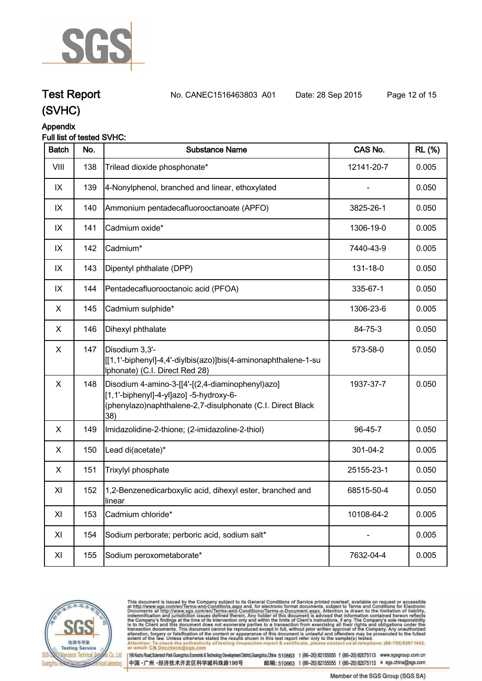

**Test Report. No. CANEC1516463803 A01 Date: 28 Sep 2015. Page 12 of 15.**

### **(SVHC)**

### **Appendix**

### **Full list of tested SVHC:**

| <b>Batch</b> | No. | <b>Substance Name</b>                                                                                                                                            | CAS No.    | <b>RL</b> (%) |
|--------------|-----|------------------------------------------------------------------------------------------------------------------------------------------------------------------|------------|---------------|
| VIII         | 138 | Trilead dioxide phosphonate*                                                                                                                                     | 12141-20-7 | 0.005         |
| IX           | 139 | 4-Nonylphenol, branched and linear, ethoxylated                                                                                                                  |            | 0.050         |
| IX           | 140 | Ammonium pentadecafluorooctanoate (APFO)                                                                                                                         | 3825-26-1  | 0.050         |
| IX           | 141 | Cadmium oxide*                                                                                                                                                   | 1306-19-0  | 0.005         |
| IX           | 142 | Cadmium*                                                                                                                                                         | 7440-43-9  | 0.005         |
| IX           | 143 | Dipentyl phthalate (DPP)                                                                                                                                         | 131-18-0   | 0.050         |
| IX           | 144 | Pentadecafluorooctanoic acid (PFOA)                                                                                                                              | 335-67-1   | 0.050         |
| X            | 145 | Cadmium sulphide*                                                                                                                                                | 1306-23-6  | 0.005         |
| X            | 146 | Dihexyl phthalate                                                                                                                                                | 84-75-3    | 0.050         |
| X            | 147 | Disodium 3,3'-<br>[[[1,1'-biphenyl]-4,4'-diylbis(azo)]bis(4-aminonaphthalene-1-su<br>Iphonate) (C.I. Direct Red 28)                                              | 573-58-0   | 0.050         |
| X            | 148 | Disodium 4-amino-3-[[4'-[(2,4-diaminophenyl)azo]<br>[1,1'-biphenyl]-4-yl]azo] -5-hydroxy-6-<br>(phenylazo)naphthalene-2,7-disulphonate (C.I. Direct Black<br>38) | 1937-37-7  | 0.050         |
| X            | 149 | Imidazolidine-2-thione; (2-imidazoline-2-thiol)                                                                                                                  | 96-45-7    | 0.050         |
| X            | 150 | Lead di(acetate)*                                                                                                                                                | 301-04-2   | 0.005         |
| X            | 151 | Trixylyl phosphate                                                                                                                                               | 25155-23-1 | 0.050         |
| XI           | 152 | 1,2-Benzenedicarboxylic acid, dihexyl ester, branched and<br>linear                                                                                              | 68515-50-4 | 0.050         |
| XI           | 153 | Cadmium chloride*                                                                                                                                                | 10108-64-2 | 0.005         |
| XI           | 154 | Sodium perborate; perboric acid, sodium salt*                                                                                                                    |            | 0.005         |
| XI           | 155 | Sodium peroxometaborate*                                                                                                                                         | 7632-04-4  | 0.005         |



This document is issued by the Company subject to its General Conditions of Service printed overleaf, available on request or accessible at http://www.sgs.com/en/Terms-and-Conditions.aspx and, for electronic format documen . at telephone: (86-755) 8307 1443, Attention: To check the authent<br>or email: CN.Doccheck@sgs.c eck the authenticity of testing /inspection report & certificate, ple contact us

中国·广州·经济技术开发区科学城科珠路198号

198 Kezhu Road,Scientech Park Guangzhou Economic & Technology Development District,Guangzhou,China 510663 t (86-20) 82155555 f (86-20) 82075113 www.sgsgroup.com.cn 邮编: 510663 t (86-20) 82155555 f (86-20) 82075113 e sgs.china@sgs.com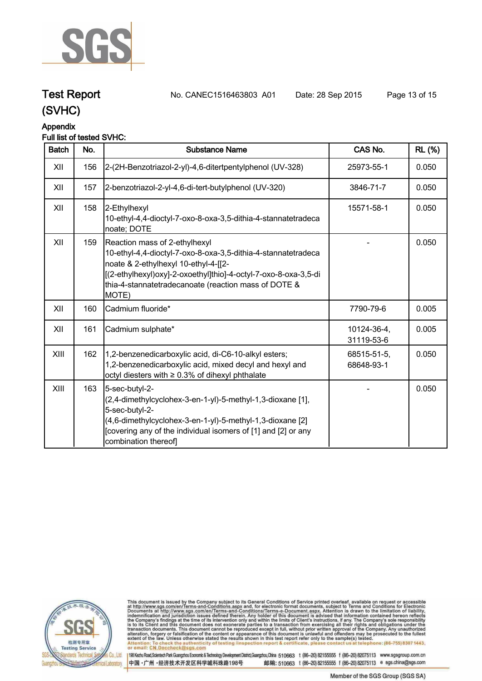

**Test Report. No. CANEC1516463803 A01 Date: 28 Sep 2015. Page 13 of 15.**

### **Appendix**

### **Full list of tested SVHC:**

| <b>Batch</b> | No. | <b>Substance Name</b>                                                                                                                                                                                                                                                      | CAS No.                   | <b>RL</b> (%) |
|--------------|-----|----------------------------------------------------------------------------------------------------------------------------------------------------------------------------------------------------------------------------------------------------------------------------|---------------------------|---------------|
| XII          | 156 | 2-(2H-Benzotriazol-2-yl)-4,6-ditertpentylphenol (UV-328)                                                                                                                                                                                                                   | 25973-55-1                | 0.050         |
| XII          | 157 | 2-benzotriazol-2-yl-4,6-di-tert-butylphenol (UV-320)                                                                                                                                                                                                                       | 3846-71-7                 | 0.050         |
| XII          | 158 | 2-Ethylhexyl<br>10-ethyl-4,4-dioctyl-7-oxo-8-oxa-3,5-dithia-4-stannatetradeca<br>noate; DOTE                                                                                                                                                                               | 15571-58-1                | 0.050         |
| XII          | 159 | Reaction mass of 2-ethylhexyl<br>10-ethyl-4,4-dioctyl-7-oxo-8-oxa-3,5-dithia-4-stannatetradeca<br>noate & 2-ethylhexyl 10-ethyl-4-[[2-<br>[(2-ethylhexyl)oxy]-2-oxoethyl]thio]-4-octyl-7-oxo-8-oxa-3,5-di<br>thia-4-stannatetradecanoate (reaction mass of DOTE &<br>MOTE) |                           | 0.050         |
| XII          | 160 | Cadmium fluoride*                                                                                                                                                                                                                                                          | 7790-79-6                 | 0.005         |
| XII          | 161 | Cadmium sulphate*                                                                                                                                                                                                                                                          | 10124-36-4,<br>31119-53-6 | 0.005         |
| XIII         | 162 | 1,2-benzenedicarboxylic acid, di-C6-10-alkyl esters;<br>1,2-benzenedicarboxylic acid, mixed decyl and hexyl and<br>octyl diesters with ≥ 0.3% of dihexyl phthalate                                                                                                         | 68515-51-5,<br>68648-93-1 | 0.050         |
| XIII         | 163 | 5-sec-butyl-2-<br>(2,4-dimethylcyclohex-3-en-1-yl)-5-methyl-1,3-dioxane [1],<br>5-sec-butyl-2-<br>(4,6-dimethylcyclohex-3-en-1-yl)-5-methyl-1,3-dioxane [2]<br>[covering any of the individual isomers of [1] and [2] or any<br>combination thereof]                       |                           | 0.050         |



This document is issued by the Company subject to its General Conditions of Service printed overleaf, available on request or accessible at http://www.sgs.com/en/Terms-and-Conditions.aspx and, for electronic format documen . at telephone: (86-755) 8307 1443, Attention: To check the authent<br>or email: CN.Doccheck@sgs.c eck the authenticity of testing /inspection report & certificate, ple contact us

中国·广州·经济技术开发区科学城科珠路198号

198 Kezhu Road,Scientech Park Guangzhou Economic & Technology Development District,Guangzhou,China 510663 t (86-20) 82155555 f (86-20) 82075113 www.sgsgroup.com.cn 邮编: 510663 t (86-20) 82155555 f (86-20) 82075113 e sgs.china@sgs.com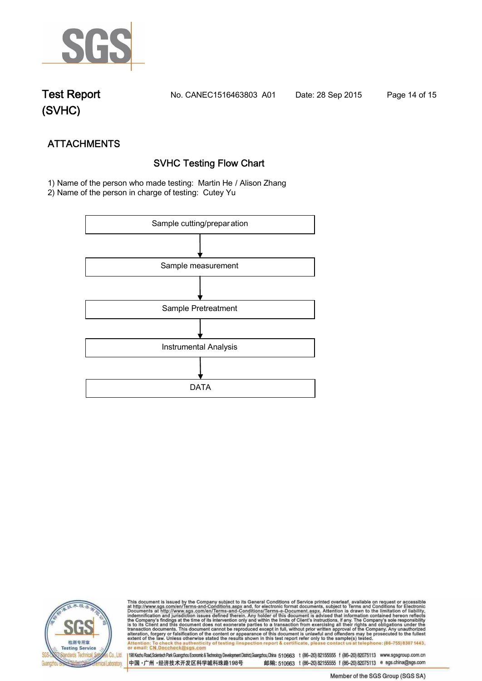

**Test Report. No. CANEC1516463803 A01 Date: 28 Sep 2015. Page 14 of 15.**

# **ATTACHMENTS SVHC Testing Flow Chart**

 **1) Name of the person who made testing: Martin He / Alison Zhang**

**2) Name of the person in charge of testing: Cutey Yu**





This document is issued by the Company subject to its General Conditions of Service printed overleaf, available on request or accessible at http://www.sgs.com/en/Terms-and-Conditions.aspx and, for electronic format documen <u>lephone: (86-755) 8307 1443.</u> Attenti ack the authenticity of testing /inspection report & certificate, pl contact us or email: CN.Doccheck@

198 Kezhu Road,Scientech Park Guangzhou Economic & Technology Development District,Guangzhou,China 510663 t (86-20) 82155555 f (86-20) 82075113 www.sgsgroup.com.cn 中国·广州·经济技术开发区科学城科珠路198号